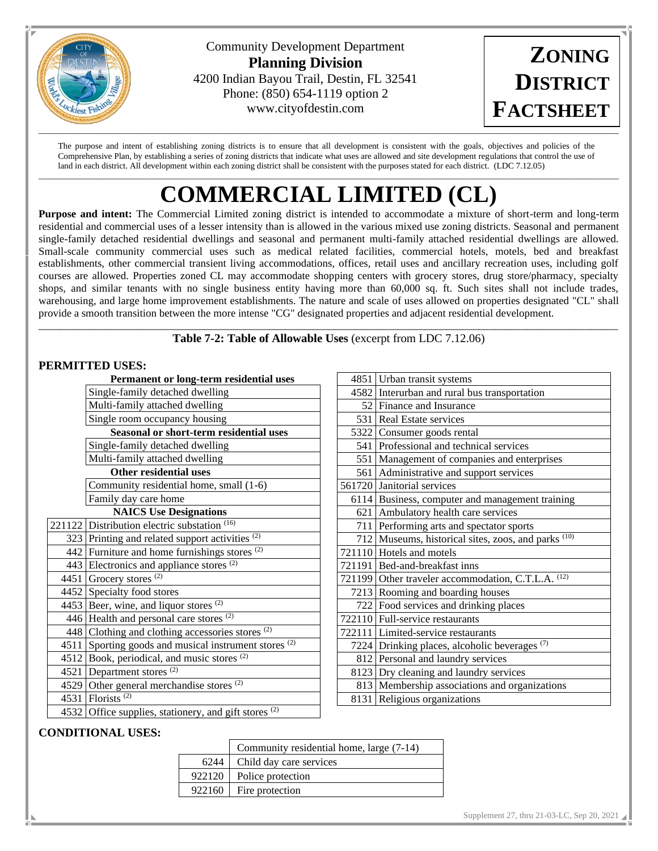

Community Development Department **Planning Division** 4200 Indian Bayou Trail, Destin, FL 32541 Phone: (850) 654-1119 option 2 www.cityofdestin.com

**ZONING DISTRICT FACTSHEET**

The purpose and intent of establishing zoning districts is to ensure that all development is consistent with the goals, objectives and policies of the Comprehensive Plan, by establishing a series of zoning districts that indicate what uses are allowed and site development regulations that control the use of land in each district. All development within each zoning district shall be consistent with the purposes stated for each district. (LDC 7.12.05)

# $\Box \rightarrow \Box \rightarrow \Box \rightarrow \Box$ **COMMERCIAL LIMITED (CL)**

**Purpose and intent:** The Commercial Limited zoning district is intended to accommodate a mixture of short-term and long-term residential and commercial uses of a lesser intensity than is allowed in the various mixed use zoning districts. Seasonal and permanent single-family detached residential dwellings and seasonal and permanent multi-family attached residential dwellings are allowed. Small-scale community commercial uses such as medical related facilities, commercial hotels, motels, bed and breakfast establishments, other commercial transient living accommodations, offices, retail uses and ancillary recreation uses, including golf courses are allowed. Properties zoned CL may accommodate shopping centers with grocery stores, drug store/pharmacy, specialty shops, and similar tenants with no single business entity having more than 60,000 sq. ft. Such sites shall not include trades, warehousing, and large home improvement establishments. The nature and scale of uses allowed on properties designated "CL" shall provide a smooth transition between the more intense "CG" designated properties and adjacent residential development.

\_\_\_\_\_\_\_\_\_\_\_\_\_\_\_\_\_\_\_\_\_\_\_\_\_\_\_\_\_\_\_\_\_\_\_\_\_\_\_\_\_\_\_\_\_\_\_\_\_\_\_\_\_\_\_\_\_\_\_\_\_\_\_\_\_\_\_\_\_\_\_\_\_\_\_\_\_\_\_\_\_\_\_\_\_\_\_\_\_\_\_\_\_\_\_\_\_\_\_\_\_\_\_\_\_\_\_\_ **Table 7-2: Table of Allowable Uses** (excerpt from LDC 7.12.06)

### **PERMITTED USES:**

| Permanent or long-term residential uses |                                                             |  |  |  |  |  |
|-----------------------------------------|-------------------------------------------------------------|--|--|--|--|--|
|                                         | Single-family detached dwelling                             |  |  |  |  |  |
|                                         | Multi-family attached dwelling                              |  |  |  |  |  |
|                                         | Single room occupancy housing                               |  |  |  |  |  |
| Seasonal or short-term residential uses |                                                             |  |  |  |  |  |
|                                         | Single-family detached dwelling                             |  |  |  |  |  |
|                                         | Multi-family attached dwelling                              |  |  |  |  |  |
| <b>Other residential uses</b>           |                                                             |  |  |  |  |  |
|                                         | Community residential home, small (1-6)                     |  |  |  |  |  |
|                                         | Family day care home                                        |  |  |  |  |  |
| <b>NAICS Use Designations</b>           |                                                             |  |  |  |  |  |
|                                         | 221122 Distribution electric substation (16)                |  |  |  |  |  |
|                                         | 323 Printing and related support activities <sup>(2)</sup>  |  |  |  |  |  |
|                                         | 442 Furniture and home furnishings stores $(2)$             |  |  |  |  |  |
|                                         | 443 Electronics and appliance stores $(2)$                  |  |  |  |  |  |
|                                         | 4451 Grocery stores $(2)$                                   |  |  |  |  |  |
|                                         | 4452 Specialty food stores                                  |  |  |  |  |  |
|                                         | 4453 Beer, wine, and liquor stores $(2)$                    |  |  |  |  |  |
|                                         | 446   Health and personal care stores $(2)$                 |  |  |  |  |  |
|                                         | 448 Clothing and clothing accessories stores (2)            |  |  |  |  |  |
| 4511                                    | Sporting goods and musical instrument stores <sup>(2)</sup> |  |  |  |  |  |
|                                         | 4512 Book, periodical, and music stores (2)                 |  |  |  |  |  |
|                                         | 4521 Department stores $(2)$                                |  |  |  |  |  |
|                                         | 4529 Other general merchandise stores $(2)$                 |  |  |  |  |  |
|                                         | 4531 Florists <sup>(2)</sup>                                |  |  |  |  |  |
|                                         | 4532 Office supplies, stationery, and gift stores $(2)$     |  |  |  |  |  |

| 4851 Urban transit systems                                     |
|----------------------------------------------------------------|
| 4582 Interurban and rural bus transportation                   |
| 52 Finance and Insurance                                       |
| 531 Real Estate services                                       |
| 5322 Consumer goods rental                                     |
| 541 Professional and technical services                        |
| 551   Management of companies and enterprises                  |
| 561 Administrative and support services                        |
| 561720 Janitorial services                                     |
| 6114 Business, computer and management training                |
| 621 Ambulatory health care services                            |
| 711 Performing arts and spectator sports                       |
| 712 Museums, historical sites, zoos, and parks <sup>(10)</sup> |
| 721110 Hotels and motels                                       |
| 721191   Bed-and-breakfast inns                                |
| 721199 Other traveler accommodation, C.T.L.A. (12)             |
| 7213 Rooming and boarding houses                               |
| 722 Food services and drinking places                          |
| 722110 Full-service restaurants                                |
| 722111 Limited-service restaurants                             |
| 7224 Drinking places, alcoholic beverages (7)                  |
| 812 Personal and laundry services                              |
| 8123 Dry cleaning and laundry services                         |
| 813 Membership associations and organizations                  |
| 8131 Religious organizations                                   |

## **CONDITIONAL USES:**

|        | Community residential home, large (7-14) |  |  |  |  |
|--------|------------------------------------------|--|--|--|--|
| 6244   | Child day care services                  |  |  |  |  |
| 922120 | Police protection                        |  |  |  |  |
| 922160 | Fire protection                          |  |  |  |  |
|        |                                          |  |  |  |  |